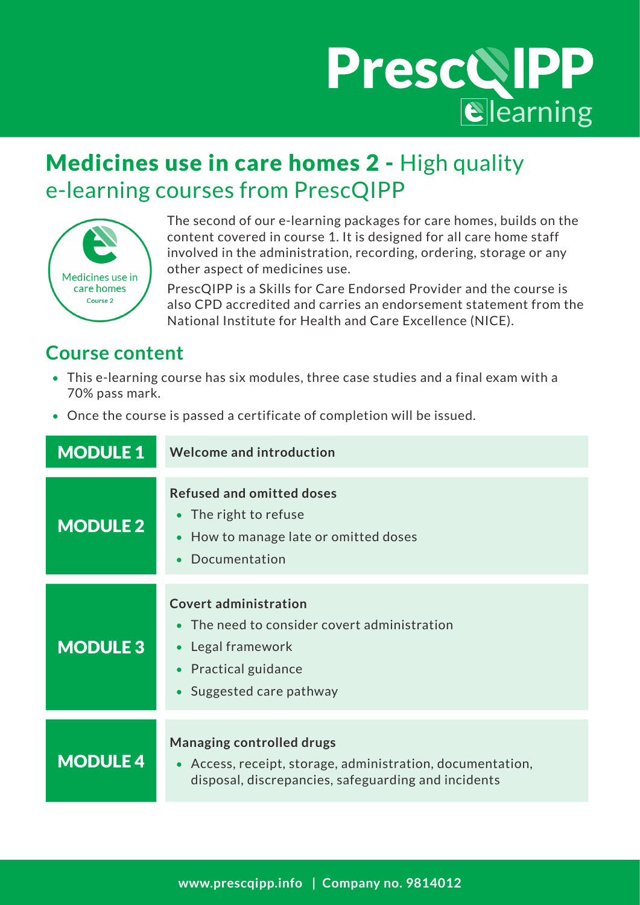## PrescQIPP

## Medicines use in care homes 2 - High quality e-learning courses from PrescQIPP



The second of our e-learning packages for care homes, builds on the content covered in course 1. It is designed for all care home staff involved in the administration, recording, ordering, storage or any other aspect of medicines use.

PrescQIPP is a Skills for Care Endorsed Provider and the course is also CPD accredited and carries an endorsement statement from the National Institute for Health and Care Excellence (NICE).

### **Course content**

- This e-learning course has six modules, three case studies and a final exam with a 70% pass mark.
- Once the course is passed a certificate of completion will be issued.

| <b>MODULE 1</b> | Welcome and introduction                                                                                                                               |
|-----------------|--------------------------------------------------------------------------------------------------------------------------------------------------------|
| <b>MODULE 2</b> | <b>Refused and omitted doses</b><br>• The right to refuse<br>How to manage late or omitted doses<br>Documentation                                      |
| <b>MODULE 3</b> | <b>Covert administration</b><br>• The need to consider covert administration<br>Legal framework<br><b>Practical guidance</b><br>Suggested care pathway |
| <b>MODULE 4</b> | <b>Managing controlled drugs</b><br>Access, receipt, storage, administration, documentation,<br>disposal, discrepancies, safeguarding and incidents    |